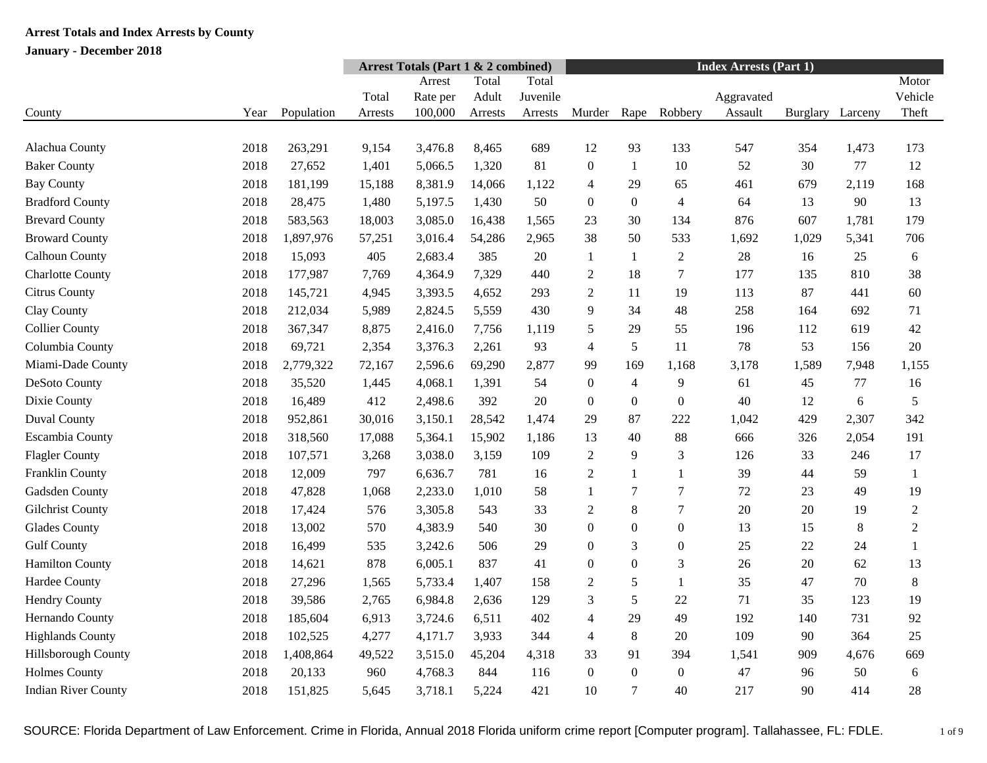|                            |      |            |         | <b>Arrest Totals (Part 1 &amp; 2 combined)</b> |         |          | <b>Index Arrests (Part 1)</b> |                  |                  |            |          |         |                |
|----------------------------|------|------------|---------|------------------------------------------------|---------|----------|-------------------------------|------------------|------------------|------------|----------|---------|----------------|
|                            |      |            |         | Arrest                                         | Total   | Total    |                               |                  |                  |            |          |         | Motor          |
|                            |      |            | Total   | Rate per                                       | Adult   | Juvenile |                               |                  |                  | Aggravated |          |         | Vehicle        |
| County                     | Year | Population | Arrests | 100,000                                        | Arrests | Arrests  | Murder                        | Rape             | Robbery          | Assault    | Burglary | Larceny | Theft          |
|                            |      |            |         |                                                |         |          |                               |                  |                  |            |          |         |                |
| Alachua County             | 2018 | 263,291    | 9,154   | 3,476.8                                        | 8,465   | 689      | 12                            | 93               | 133              | 547        | 354      | 1,473   | 173            |
| <b>Baker County</b>        | 2018 | 27,652     | 1,401   | 5,066.5                                        | 1,320   | 81       | $\boldsymbol{0}$              | 1                | 10               | 52         | 30       | 77      | 12             |
| <b>Bay County</b>          | 2018 | 181,199    | 15,188  | 8,381.9                                        | 14,066  | 1,122    | $\overline{4}$                | 29               | 65               | 461        | 679      | 2,119   | 168            |
| <b>Bradford County</b>     | 2018 | 28,475     | 1,480   | 5,197.5                                        | 1,430   | 50       | $\boldsymbol{0}$              | $\Omega$         | $\overline{4}$   | 64         | 13       | 90      | 13             |
| <b>Brevard County</b>      | 2018 | 583,563    | 18,003  | 3,085.0                                        | 16,438  | 1,565    | 23                            | 30               | 134              | 876        | 607      | 1,781   | 179            |
| <b>Broward County</b>      | 2018 | 1,897,976  | 57,251  | 3,016.4                                        | 54,286  | 2,965    | 38                            | 50               | 533              | 1,692      | 1,029    | 5,341   | 706            |
| Calhoun County             | 2018 | 15,093     | 405     | 2,683.4                                        | 385     | 20       | 1                             | 1                | $\overline{2}$   | 28         | 16       | 25      | 6              |
| <b>Charlotte County</b>    | 2018 | 177,987    | 7,769   | 4,364.9                                        | 7,329   | 440      | $\overline{2}$                | 18               | $\tau$           | 177        | 135      | 810     | 38             |
| Citrus County              | 2018 | 145,721    | 4,945   | 3,393.5                                        | 4,652   | 293      | $\overline{2}$                | 11               | 19               | 113        | 87       | 441     | 60             |
| Clay County                | 2018 | 212,034    | 5,989   | 2,824.5                                        | 5,559   | 430      | 9                             | 34               | 48               | 258        | 164      | 692     | 71             |
| <b>Collier County</b>      | 2018 | 367,347    | 8,875   | 2,416.0                                        | 7,756   | 1,119    | 5                             | 29               | 55               | 196        | 112      | 619     | 42             |
| Columbia County            | 2018 | 69,721     | 2,354   | 3,376.3                                        | 2,261   | 93       | 4                             | 5                | 11               | 78         | 53       | 156     | 20             |
| Miami-Dade County          | 2018 | 2,779,322  | 72,167  | 2,596.6                                        | 69,290  | 2,877    | 99                            | 169              | 1,168            | 3,178      | 1,589    | 7,948   | 1,155          |
| DeSoto County              | 2018 | 35,520     | 1,445   | 4,068.1                                        | 1,391   | 54       | $\boldsymbol{0}$              | $\overline{4}$   | 9                | 61         | 45       | 77      | 16             |
| Dixie County               | 2018 | 16,489     | 412     | 2,498.6                                        | 392     | 20       | $\boldsymbol{0}$              | $\boldsymbol{0}$ | $\boldsymbol{0}$ | 40         | 12       | 6       | 5              |
| <b>Duval County</b>        | 2018 | 952,861    | 30,016  | 3,150.1                                        | 28,542  | 1,474    | 29                            | 87               | 222              | 1,042      | 429      | 2,307   | 342            |
| Escambia County            | 2018 | 318,560    | 17,088  | 5,364.1                                        | 15,902  | 1,186    | 13                            | 40               | 88               | 666        | 326      | 2,054   | 191            |
| <b>Flagler County</b>      | 2018 | 107,571    | 3,268   | 3,038.0                                        | 3,159   | 109      | $\overline{2}$                | 9                | 3                | 126        | 33       | 246     | 17             |
| Franklin County            | 2018 | 12,009     | 797     | 6,636.7                                        | 781     | 16       | $\sqrt{2}$                    | 1                | $\mathbf{1}$     | 39         | 44       | 59      | $\mathbf{1}$   |
| Gadsden County             | 2018 | 47,828     | 1,068   | 2,233.0                                        | 1,010   | 58       | 1                             | 7                | 7                | $72\,$     | 23       | 49      | 19             |
| <b>Gilchrist County</b>    | 2018 | 17,424     | 576     | 3,305.8                                        | 543     | 33       | $\mathfrak{2}$                | 8                | 7                | 20         | 20       | 19      | $\mathbf{2}$   |
| <b>Glades County</b>       | 2018 | 13,002     | 570     | 4,383.9                                        | 540     | 30       | $\mathbf{0}$                  | $\overline{0}$   | $\theta$         | 13         | 15       | $8\,$   | $\overline{2}$ |
| <b>Gulf County</b>         | 2018 | 16,499     | 535     | 3,242.6                                        | 506     | 29       | $\mathbf{0}$                  | 3                | $\boldsymbol{0}$ | 25         | 22       | 24      | $\mathbf{1}$   |
| <b>Hamilton County</b>     | 2018 | 14,621     | 878     | 6,005.1                                        | 837     | 41       | $\boldsymbol{0}$              | $\boldsymbol{0}$ | 3                | 26         | 20       | 62      | 13             |
| Hardee County              | 2018 | 27,296     | 1,565   | 5,733.4                                        | 1,407   | 158      | $\boldsymbol{2}$              | 5                | 1                | 35         | 47       | 70      | $8\,$          |
| Hendry County              | 2018 | 39,586     | 2,765   | 6,984.8                                        | 2,636   | 129      | 3                             | 5                | 22               | 71         | 35       | 123     | 19             |
| Hernando County            | 2018 | 185,604    | 6,913   | 3,724.6                                        | 6,511   | 402      | $\overline{4}$                | 29               | 49               | 192        | 140      | 731     | 92             |
| <b>Highlands County</b>    | 2018 | 102,525    | 4,277   | 4,171.7                                        | 3,933   | 344      | 4                             | 8                | 20               | 109        | 90       | 364     | 25             |
| Hillsborough County        | 2018 | 1,408,864  | 49,522  | 3,515.0                                        | 45,204  | 4,318    | 33                            | 91               | 394              | 1,541      | 909      | 4,676   | 669            |
| <b>Holmes County</b>       | 2018 | 20,133     | 960     | 4,768.3                                        | 844     | 116      | $\boldsymbol{0}$              | $\overline{0}$   | $\mathbf{0}$     | 47         | 96       | 50      | $\sqrt{6}$     |
| <b>Indian River County</b> | 2018 | 151,825    | 5,645   | 3,718.1                                        | 5,224   | 421      | 10                            | 7                | 40               | 217        | 90       | 414     | 28             |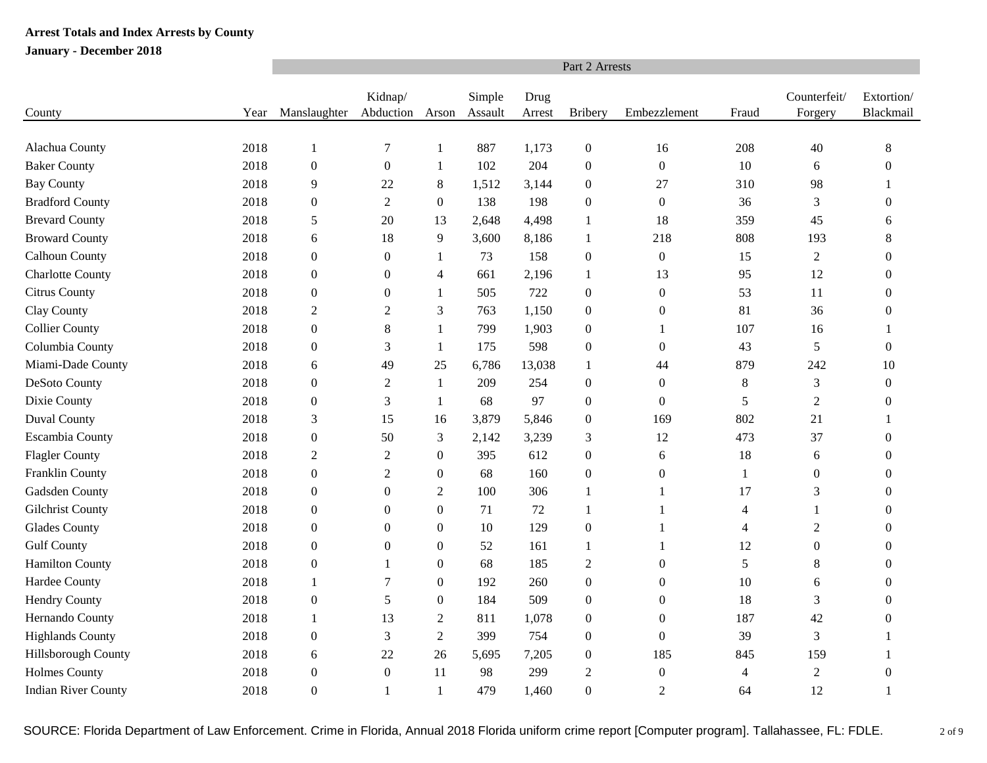|                            |      | Part 2 Arrests   |                      |                  |                   |                |                  |                  |                |                         |                         |  |  |  |
|----------------------------|------|------------------|----------------------|------------------|-------------------|----------------|------------------|------------------|----------------|-------------------------|-------------------------|--|--|--|
| County                     | Year | Manslaughter     | Kidnap/<br>Abduction | Arson            | Simple<br>Assault | Drug<br>Arrest | <b>Bribery</b>   | Embezzlement     | Fraud          | Counterfeit/<br>Forgery | Extortion/<br>Blackmail |  |  |  |
|                            |      |                  |                      |                  |                   |                |                  |                  |                |                         |                         |  |  |  |
| Alachua County             | 2018 | $\mathbf{1}$     | $\overline{7}$       | 1                | 887               | 1,173          | $\boldsymbol{0}$ | 16               | 208            | 40                      | 8                       |  |  |  |
| <b>Baker County</b>        | 2018 | $\boldsymbol{0}$ | $\boldsymbol{0}$     | 1                | 102               | 204            | $\mathbf{0}$     | $\boldsymbol{0}$ | 10             | 6                       | $\Omega$                |  |  |  |
| <b>Bay County</b>          | 2018 | 9                | 22                   | 8                | 1,512             | 3,144          | $\mathbf{0}$     | 27               | 310            | 98                      | 1                       |  |  |  |
| <b>Bradford County</b>     | 2018 | $\boldsymbol{0}$ | 2                    | $\overline{0}$   | 138               | 198            | $\boldsymbol{0}$ | $\boldsymbol{0}$ | 36             | 3                       | 0                       |  |  |  |
| <b>Brevard County</b>      | 2018 | 5                | 20                   | 13               | 2,648             | 4,498          | $\mathbf{1}$     | 18               | 359            | 45                      | 6                       |  |  |  |
| <b>Broward County</b>      | 2018 | 6                | 18                   | 9                | 3,600             | 8,186          | 1                | 218              | 808            | 193                     | 8                       |  |  |  |
| Calhoun County             | 2018 | $\boldsymbol{0}$ | $\boldsymbol{0}$     | 1                | 73                | 158            | $\boldsymbol{0}$ | $\boldsymbol{0}$ | 15             | $\overline{2}$          | $\boldsymbol{0}$        |  |  |  |
| <b>Charlotte County</b>    | 2018 | $\boldsymbol{0}$ | $\boldsymbol{0}$     | 4                | 661               | 2,196          | 1                | 13               | 95             | 12                      | $\Omega$                |  |  |  |
| Citrus County              | 2018 | $\boldsymbol{0}$ | $\boldsymbol{0}$     | 1                | 505               | 722            | $\boldsymbol{0}$ | $\boldsymbol{0}$ | 53             | 11                      | $\Omega$                |  |  |  |
| Clay County                | 2018 | $\overline{c}$   | $\overline{c}$       | 3                | 763               | 1,150          | $\boldsymbol{0}$ | $\boldsymbol{0}$ | 81             | 36                      | $\Omega$                |  |  |  |
| <b>Collier County</b>      | 2018 | $\boldsymbol{0}$ | $8\phantom{.}$       | 1                | 799               | 1,903          | $\overline{0}$   |                  | 107            | 16                      |                         |  |  |  |
| Columbia County            | 2018 | $\boldsymbol{0}$ | 3                    | 1                | 175               | 598            | $\boldsymbol{0}$ | $\boldsymbol{0}$ | 43             | 5                       | $\boldsymbol{0}$        |  |  |  |
| Miami-Dade County          | 2018 | 6                | 49                   | 25               | 6,786             | 13,038         | $\mathbf{1}$     | 44               | 879            | 242                     | 10                      |  |  |  |
| DeSoto County              | 2018 | $\boldsymbol{0}$ | $\overline{2}$       | $\mathbf{1}$     | 209               | 254            | $\mathbf{0}$     | $\boldsymbol{0}$ | $8\,$          | 3                       | $\overline{0}$          |  |  |  |
| Dixie County               | 2018 | $\boldsymbol{0}$ | $\mathfrak{Z}$       | 1                | 68                | 97             | $\boldsymbol{0}$ | $\boldsymbol{0}$ | 5              | $\overline{c}$          | $\overline{0}$          |  |  |  |
| <b>Duval County</b>        | 2018 | $\mathfrak{Z}$   | 15                   | 16               | 3,879             | 5,846          | $\boldsymbol{0}$ | 169              | 802            | 21                      |                         |  |  |  |
| Escambia County            | 2018 | $\boldsymbol{0}$ | 50                   | 3                | 2,142             | 3,239          | 3                | 12               | 473            | 37                      | 0                       |  |  |  |
| <b>Flagler County</b>      | 2018 | $\boldsymbol{2}$ | $\overline{c}$       | $\boldsymbol{0}$ | 395               | 612            | $\boldsymbol{0}$ | 6                | 18             | 6                       | $\Omega$                |  |  |  |
| Franklin County            | 2018 | $\boldsymbol{0}$ | 2                    | $\boldsymbol{0}$ | 68                | 160            | $\boldsymbol{0}$ | $\boldsymbol{0}$ | $\mathbf{1}$   | $\boldsymbol{0}$        | $\Omega$                |  |  |  |
| Gadsden County             | 2018 | $\boldsymbol{0}$ | $\overline{0}$       | $\boldsymbol{2}$ | 100               | 306            | 1                | -1               | 17             | 3                       | $\Omega$                |  |  |  |
| Gilchrist County           | 2018 | $\boldsymbol{0}$ | $\boldsymbol{0}$     | $\boldsymbol{0}$ | 71                | 72             | $\mathbf{1}$     | $\mathbf{1}$     | 4              | 1                       | $\theta$                |  |  |  |
| Glades County              | 2018 | $\boldsymbol{0}$ | $\overline{0}$       | $\mathbf{0}$     | 10                | 129            | $\boldsymbol{0}$ |                  | $\overline{4}$ | $\overline{c}$          | $\theta$                |  |  |  |
| <b>Gulf County</b>         | 2018 | $\boldsymbol{0}$ | $\boldsymbol{0}$     | $\boldsymbol{0}$ | 52                | 161            | $\mathbf{1}$     |                  | 12             | $\boldsymbol{0}$        | $\theta$                |  |  |  |
| <b>Hamilton County</b>     | 2018 | $\boldsymbol{0}$ | 1                    | $\mathbf{0}$     | 68                | 185            | $\mathfrak{2}$   | $\boldsymbol{0}$ | 5              | 8                       | 0                       |  |  |  |
| Hardee County              | 2018 | 1                | 7                    | $\boldsymbol{0}$ | 192               | 260            | $\boldsymbol{0}$ | $\boldsymbol{0}$ | 10             | 6                       | 0                       |  |  |  |
| <b>Hendry County</b>       | 2018 | $\boldsymbol{0}$ | 5                    | $\boldsymbol{0}$ | 184               | 509            | $\boldsymbol{0}$ | $\boldsymbol{0}$ | 18             | 3                       | $\overline{0}$          |  |  |  |
| Hernando County            | 2018 | 1                | 13                   | $\overline{c}$   | 811               | 1,078          | $\boldsymbol{0}$ | $\boldsymbol{0}$ | 187            | 42                      | $\theta$                |  |  |  |
| <b>Highlands County</b>    | 2018 | $\boldsymbol{0}$ | 3                    | $\overline{2}$   | 399               | 754            | $\boldsymbol{0}$ | $\boldsymbol{0}$ | 39             | 3                       | -1                      |  |  |  |
| Hillsborough County        | 2018 | 6                | 22                   | 26               | 5,695             | 7,205          | $\boldsymbol{0}$ | 185              | 845            | 159                     | 1                       |  |  |  |
| <b>Holmes County</b>       | 2018 | $\boldsymbol{0}$ | $\boldsymbol{0}$     | 11               | 98                | 299            | $\overline{2}$   | $\boldsymbol{0}$ | $\overline{4}$ | $\overline{2}$          | $\overline{0}$          |  |  |  |
| <b>Indian River County</b> | 2018 | $\boldsymbol{0}$ | 1                    |                  | 479               | 1,460          | $\Omega$         | $\overline{2}$   | 64             | 12                      | 1                       |  |  |  |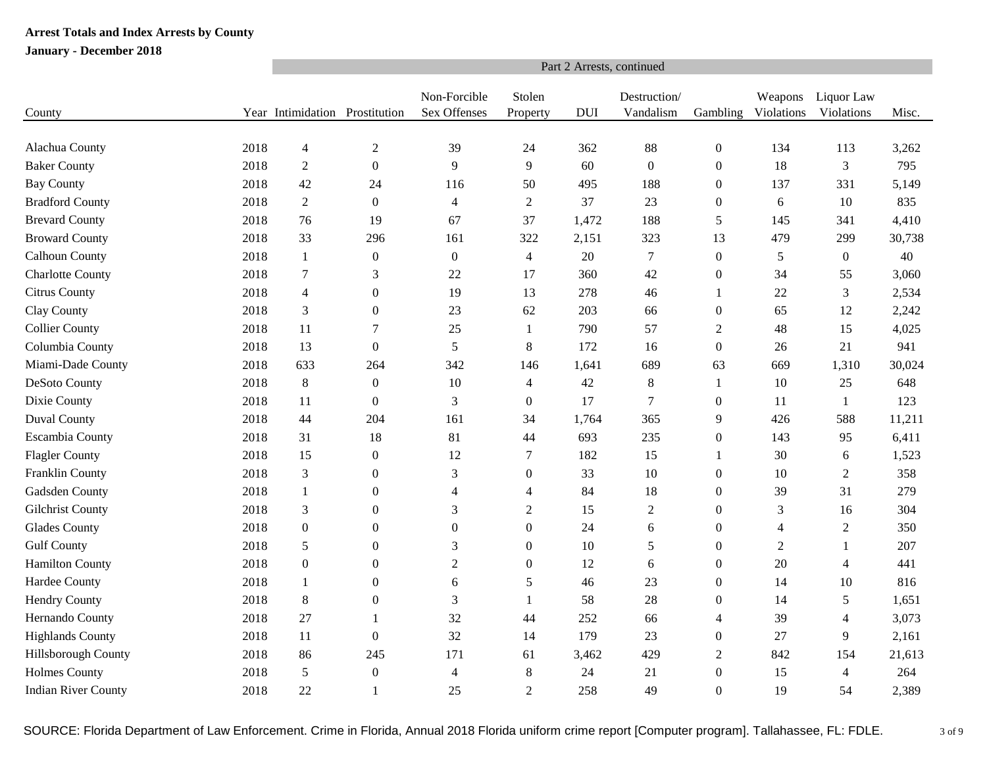|                            |      | Part 2 Arrests, continued      |                  |                              |                          |            |                           |                  |                       |                          |        |  |  |  |
|----------------------------|------|--------------------------------|------------------|------------------------------|--------------------------|------------|---------------------------|------------------|-----------------------|--------------------------|--------|--|--|--|
| County                     |      | Year Intimidation Prostitution |                  | Non-Forcible<br>Sex Offenses | Stolen<br>Property       | <b>DUI</b> | Destruction/<br>Vandalism | Gambling         | Weapons<br>Violations | Liquor Law<br>Violations | Misc.  |  |  |  |
|                            |      |                                |                  |                              |                          |            |                           |                  |                       |                          |        |  |  |  |
| Alachua County             | 2018 | $\overline{4}$                 | $\overline{2}$   | 39                           | 24                       | 362        | 88                        | $\boldsymbol{0}$ | 134                   | 113                      | 3,262  |  |  |  |
| <b>Baker County</b>        | 2018 | $\sqrt{2}$                     | $\mathbf{0}$     | 9                            | 9                        | 60         | $\boldsymbol{0}$          | $\boldsymbol{0}$ | 18                    | $\mathfrak{Z}$           | 795    |  |  |  |
| <b>Bay County</b>          | 2018 | 42                             | 24               | 116                          | 50                       | 495        | 188                       | $\mathbf{0}$     | 137                   | 331                      | 5,149  |  |  |  |
| <b>Bradford County</b>     | 2018 | $\overline{2}$                 | $\boldsymbol{0}$ | $\overline{4}$               | $\overline{2}$           | 37         | 23                        | $\boldsymbol{0}$ | $\sqrt{6}$            | 10                       | 835    |  |  |  |
| <b>Brevard County</b>      | 2018 | 76                             | 19               | 67                           | 37                       | 1,472      | 188                       | 5                | 145                   | 341                      | 4,410  |  |  |  |
| <b>Broward County</b>      | 2018 | 33                             | 296              | 161                          | 322                      | 2,151      | 323                       | 13               | 479                   | 299                      | 30,738 |  |  |  |
| Calhoun County             | 2018 | $\mathbf{1}$                   | $\boldsymbol{0}$ | $\boldsymbol{0}$             | $\overline{4}$           | 20         | $\boldsymbol{7}$          | $\boldsymbol{0}$ | $\sqrt{5}$            | $\boldsymbol{0}$         | 40     |  |  |  |
| <b>Charlotte County</b>    | 2018 | $\tau$                         | 3                | 22                           | 17                       | 360        | 42                        | $\boldsymbol{0}$ | 34                    | 55                       | 3,060  |  |  |  |
| Citrus County              | 2018 | $\overline{4}$                 | $\overline{0}$   | 19                           | 13                       | 278        | 46                        | 1                | 22                    | 3                        | 2,534  |  |  |  |
| Clay County                | 2018 | 3                              | $\boldsymbol{0}$ | 23                           | 62                       | 203        | 66                        | $\boldsymbol{0}$ | 65                    | 12                       | 2,242  |  |  |  |
| <b>Collier County</b>      | 2018 | 11                             | 7                | 25                           | 1                        | 790        | 57                        | $\overline{2}$   | 48                    | 15                       | 4,025  |  |  |  |
| Columbia County            | 2018 | 13                             | $\boldsymbol{0}$ | 5                            | $8\,$                    | 172        | 16                        | $\boldsymbol{0}$ | 26                    | 21                       | 941    |  |  |  |
| Miami-Dade County          | 2018 | 633                            | 264              | 342                          | 146                      | 1,641      | 689                       | 63               | 669                   | 1,310                    | 30,024 |  |  |  |
| DeSoto County              | 2018 | $8\,$                          | $\boldsymbol{0}$ | 10                           | $\overline{\mathcal{A}}$ | 42         | 8                         | 1                | 10                    | 25                       | 648    |  |  |  |
| Dixie County               | 2018 | 11                             | $\boldsymbol{0}$ | $\mathfrak{Z}$               | $\boldsymbol{0}$         | 17         | $\boldsymbol{7}$          | $\boldsymbol{0}$ | 11                    | $\mathbf{1}$             | 123    |  |  |  |
| Duval County               | 2018 | 44                             | 204              | 161                          | 34                       | 1,764      | 365                       | 9                | 426                   | 588                      | 11,211 |  |  |  |
| <b>Escambia County</b>     | 2018 | 31                             | 18               | 81                           | 44                       | 693        | 235                       | $\boldsymbol{0}$ | 143                   | 95                       | 6,411  |  |  |  |
| <b>Flagler County</b>      | 2018 | 15                             | $\mathbf{0}$     | 12                           | $\overline{7}$           | 182        | 15                        | $\mathbf{1}$     | 30                    | 6                        | 1,523  |  |  |  |
| Franklin County            | 2018 | 3                              | $\overline{0}$   | 3                            | $\boldsymbol{0}$         | 33         | 10                        | $\boldsymbol{0}$ | 10                    | $\overline{2}$           | 358    |  |  |  |
| Gadsden County             | 2018 | 1                              | $\boldsymbol{0}$ | $\overline{4}$               | $\overline{4}$           | 84         | 18                        | $\boldsymbol{0}$ | 39                    | 31                       | 279    |  |  |  |
| <b>Gilchrist County</b>    | 2018 | 3                              | 0                | 3                            | $\overline{2}$           | 15         | $\overline{2}$            | $\boldsymbol{0}$ | $\mathfrak{Z}$        | 16                       | 304    |  |  |  |
| <b>Glades County</b>       | 2018 | $\boldsymbol{0}$               | $\overline{0}$   | $\boldsymbol{0}$             | $\boldsymbol{0}$         | 24         | 6                         | $\boldsymbol{0}$ | $\overline{4}$        | $\mathfrak{2}$           | 350    |  |  |  |
| <b>Gulf County</b>         | 2018 | 5                              | $\boldsymbol{0}$ | 3                            | $\boldsymbol{0}$         | 10         | 5                         | $\boldsymbol{0}$ | $\overline{2}$        | $\mathbf{1}$             | 207    |  |  |  |
| <b>Hamilton County</b>     | 2018 | $\boldsymbol{0}$               | $\overline{0}$   | $\overline{2}$               | $\boldsymbol{0}$         | 12         | 6                         | $\boldsymbol{0}$ | 20                    | 4                        | 441    |  |  |  |
| Hardee County              | 2018 | 1                              | $\overline{0}$   | 6                            | 5                        | 46         | 23                        | $\theta$         | 14                    | 10                       | 816    |  |  |  |
| <b>Hendry County</b>       | 2018 | 8                              | $\boldsymbol{0}$ | 3                            | $\mathbf{1}$             | 58         | 28                        | $\boldsymbol{0}$ | 14                    | 5                        | 1,651  |  |  |  |
| Hernando County            | 2018 | 27                             | 1                | 32                           | 44                       | 252        | 66                        | $\overline{4}$   | 39                    | $\overline{4}$           | 3,073  |  |  |  |
| <b>Highlands County</b>    | 2018 | 11                             | $\boldsymbol{0}$ | 32                           | 14                       | 179        | 23                        | $\boldsymbol{0}$ | 27                    | 9                        | 2,161  |  |  |  |
| Hillsborough County        | 2018 | 86                             | 245              | 171                          | 61                       | 3,462      | 429                       | $\overline{c}$   | 842                   | 154                      | 21,613 |  |  |  |
| <b>Holmes County</b>       | 2018 | 5                              | $\boldsymbol{0}$ | $\overline{4}$               | 8                        | 24         | 21                        | $\boldsymbol{0}$ | 15                    | $\overline{4}$           | 264    |  |  |  |
| <b>Indian River County</b> | 2018 | 22                             |                  | 25                           | $\overline{2}$           | 258        | 49                        | $\Omega$         | 19                    | 54                       | 2,389  |  |  |  |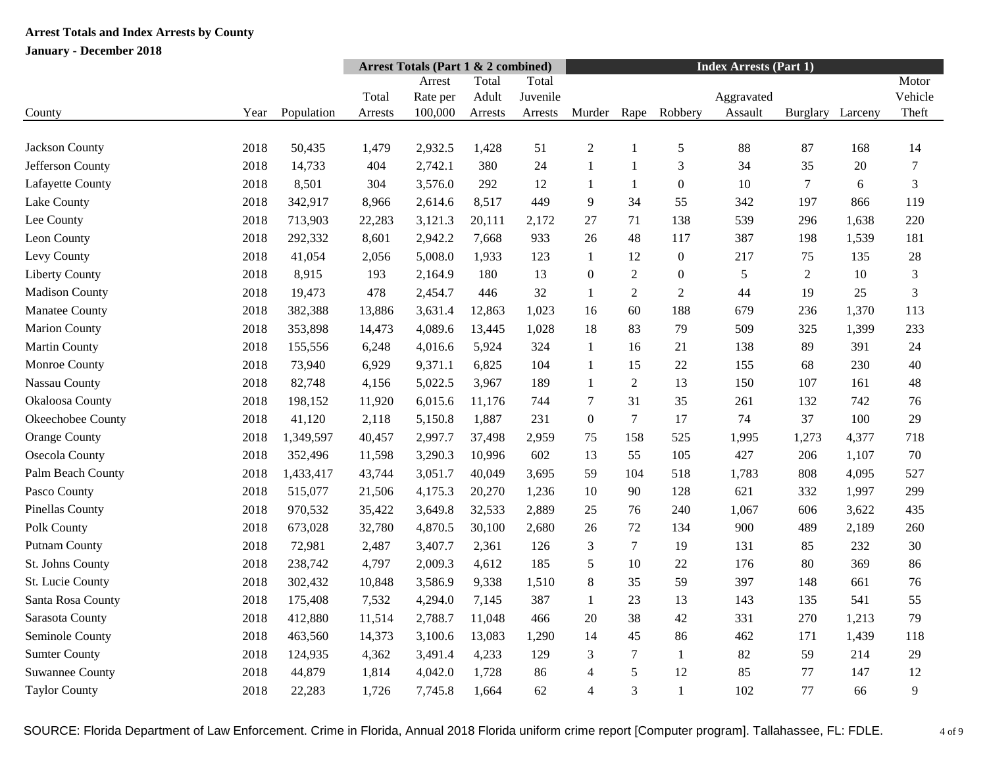|                        |      |            | <b>Arrest Totals (Part 1 &amp; 2 combined)</b> |          |         |          |                  | <b>Index Arrests (Part 1)</b> |                  |            |          |         |                  |
|------------------------|------|------------|------------------------------------------------|----------|---------|----------|------------------|-------------------------------|------------------|------------|----------|---------|------------------|
|                        |      |            |                                                | Arrest   | Total   | Total    |                  |                               |                  |            |          |         | Motor            |
|                        |      |            | Total                                          | Rate per | Adult   | Juvenile |                  |                               |                  | Aggravated |          |         | Vehicle          |
| County                 | Year | Population | Arrests                                        | 100,000  | Arrests | Arrests  | Murder           | Rape                          | Robbery          | Assault    | Burglary | Larceny | Theft            |
|                        |      |            |                                                |          |         |          |                  |                               |                  |            |          |         |                  |
| Jackson County         | 2018 | 50,435     | 1,479                                          | 2,932.5  | 1,428   | 51       | $\overline{2}$   | 1                             | $\mathfrak s$    | 88         | 87       | 168     | 14               |
| Jefferson County       | 2018 | 14,733     | 404                                            | 2,742.1  | 380     | 24       | $\mathbf{1}$     | $\mathbf{1}$                  | 3                | 34         | 35       | 20      | $\boldsymbol{7}$ |
| Lafayette County       | 2018 | 8,501      | 304                                            | 3,576.0  | 292     | 12       | $\mathbf{1}$     | $\mathbf{1}$                  | $\mathbf{0}$     | 10         | $\tau$   | 6       | 3                |
| Lake County            | 2018 | 342,917    | 8,966                                          | 2,614.6  | 8,517   | 449      | 9                | 34                            | 55               | 342        | 197      | 866     | 119              |
| Lee County             | 2018 | 713,903    | 22,283                                         | 3,121.3  | 20,111  | 2,172    | 27               | 71                            | 138              | 539        | 296      | 1,638   | 220              |
| Leon County            | 2018 | 292,332    | 8,601                                          | 2,942.2  | 7,668   | 933      | 26               | 48                            | 117              | 387        | 198      | 1,539   | 181              |
| Levy County            | 2018 | 41,054     | 2,056                                          | 5,008.0  | 1,933   | 123      | $\mathbf{1}$     | 12                            | $\boldsymbol{0}$ | 217        | 75       | 135     | 28               |
| <b>Liberty County</b>  | 2018 | 8,915      | 193                                            | 2,164.9  | 180     | 13       | $\mathbf{0}$     | $\sqrt{2}$                    | $\boldsymbol{0}$ | 5          | 2        | 10      | $\mathfrak{Z}$   |
| <b>Madison County</b>  | 2018 | 19,473     | 478                                            | 2,454.7  | 446     | 32       | -1               | 2                             | $\overline{2}$   | 44         | 19       | 25      | 3                |
| Manatee County         | 2018 | 382,388    | 13,886                                         | 3,631.4  | 12,863  | 1,023    | 16               | 60                            | 188              | 679        | 236      | 1,370   | 113              |
| <b>Marion County</b>   | 2018 | 353,898    | 14,473                                         | 4,089.6  | 13,445  | 1,028    | 18               | 83                            | 79               | 509        | 325      | 1,399   | 233              |
| Martin County          | 2018 | 155,556    | 6,248                                          | 4,016.6  | 5,924   | 324      | $\mathbf{1}$     | 16                            | 21               | 138        | 89       | 391     | 24               |
| Monroe County          | 2018 | 73,940     | 6,929                                          | 9,371.1  | 6,825   | 104      | -1               | 15                            | 22               | 155        | 68       | 230     | 40               |
| Nassau County          | 2018 | 82,748     | 4,156                                          | 5,022.5  | 3,967   | 189      | 1                | $\overline{2}$                | 13               | 150        | 107      | 161     | 48               |
| Okaloosa County        | 2018 | 198,152    | 11,920                                         | 6,015.6  | 11,176  | 744      | $\tau$           | 31                            | 35               | 261        | 132      | 742     | 76               |
| Okeechobee County      | 2018 | 41,120     | 2,118                                          | 5,150.8  | 1,887   | 231      | $\boldsymbol{0}$ | $\overline{7}$                | 17               | 74         | 37       | 100     | 29               |
| Orange County          | 2018 | 1,349,597  | 40,457                                         | 2,997.7  | 37,498  | 2,959    | 75               | 158                           | 525              | 1,995      | 1,273    | 4,377   | 718              |
| Osecola County         | 2018 | 352,496    | 11,598                                         | 3,290.3  | 10,996  | 602      | 13               | 55                            | 105              | 427        | 206      | 1,107   | 70               |
| Palm Beach County      | 2018 | 1,433,417  | 43,744                                         | 3,051.7  | 40,049  | 3,695    | 59               | 104                           | 518              | 1,783      | 808      | 4,095   | 527              |
| Pasco County           | 2018 | 515,077    | 21,506                                         | 4,175.3  | 20,270  | 1,236    | 10               | 90                            | 128              | 621        | 332      | 1,997   | 299              |
| <b>Pinellas County</b> | 2018 | 970,532    | 35,422                                         | 3,649.8  | 32,533  | 2,889    | 25               | 76                            | 240              | 1,067      | 606      | 3,622   | 435              |
| Polk County            | 2018 | 673,028    | 32,780                                         | 4,870.5  | 30,100  | 2,680    | 26               | 72                            | 134              | 900        | 489      | 2,189   | 260              |
| <b>Putnam County</b>   | 2018 | 72,981     | 2,487                                          | 3,407.7  | 2,361   | 126      | 3                | $\overline{7}$                | 19               | 131        | 85       | 232     | 30               |
| St. Johns County       | 2018 | 238,742    | 4,797                                          | 2,009.3  | 4,612   | 185      | 5                | 10                            | 22               | 176        | 80       | 369     | 86               |
| St. Lucie County       | 2018 | 302,432    | 10,848                                         | 3,586.9  | 9,338   | 1,510    | $8\phantom{1}$   | 35                            | 59               | 397        | 148      | 661     | 76               |
| Santa Rosa County      | 2018 | 175,408    | 7,532                                          | 4,294.0  | 7,145   | 387      | 1                | 23                            | 13               | 143        | 135      | 541     | 55               |
| Sarasota County        | 2018 | 412,880    | 11,514                                         | 2,788.7  | 11,048  | 466      | 20               | 38                            | 42               | 331        | 270      | 1,213   | 79               |
| Seminole County        | 2018 | 463,560    | 14,373                                         | 3,100.6  | 13,083  | 1,290    | 14               | 45                            | 86               | 462        | 171      | 1,439   | 118              |
| <b>Sumter County</b>   | 2018 | 124,935    | 4,362                                          | 3,491.4  | 4,233   | 129      | 3                | $\tau$                        | $\mathbf{1}$     | 82         | 59       | 214     | 29               |
| <b>Suwannee County</b> | 2018 | 44,879     | 1,814                                          | 4,042.0  | 1,728   | 86       | $\overline{4}$   | 5                             | 12               | 85         | 77       | 147     | 12               |
| <b>Taylor County</b>   | 2018 | 22,283     | 1,726                                          | 7,745.8  | 1,664   | 62       | $\overline{4}$   | 3                             | $\mathbf{1}$     | 102        | 77       | 66      | 9                |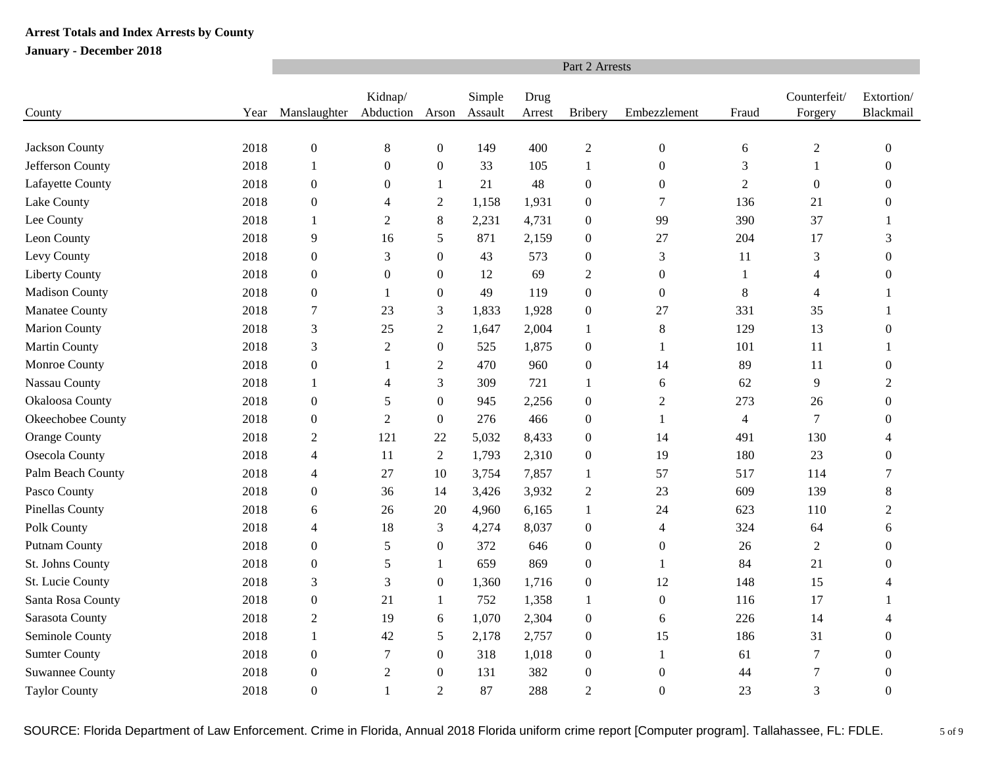|                        |      | Part 2 Arrests   |                      |                  |                   |                |                  |                  |                          |                         |                         |  |  |  |
|------------------------|------|------------------|----------------------|------------------|-------------------|----------------|------------------|------------------|--------------------------|-------------------------|-------------------------|--|--|--|
| County                 | Year | Manslaughter     | Kidnap/<br>Abduction | Arson            | Simple<br>Assault | Drug<br>Arrest | <b>Bribery</b>   | Embezzlement     | Fraud                    | Counterfeit/<br>Forgery | Extortion/<br>Blackmail |  |  |  |
|                        |      |                  |                      |                  |                   |                |                  |                  |                          |                         |                         |  |  |  |
| Jackson County         | 2018 | $\boldsymbol{0}$ | $8\,$                | $\boldsymbol{0}$ | 149               | 400            | $\sqrt{2}$       | $\boldsymbol{0}$ | 6                        | $\overline{c}$          | $\boldsymbol{0}$        |  |  |  |
| Jefferson County       | 2018 | $\mathbf{1}$     | $\boldsymbol{0}$     | $\boldsymbol{0}$ | 33                | 105            | $\mathbf{1}$     | $\boldsymbol{0}$ | 3                        | $\mathbf{1}$            | $\theta$                |  |  |  |
| Lafayette County       | 2018 | $\boldsymbol{0}$ | $\mathbf{0}$         | 1                | 21                | 48             | $\boldsymbol{0}$ | $\overline{0}$   | $\mathfrak{2}$           | $\mathbf{0}$            | 0                       |  |  |  |
| Lake County            | 2018 | $\boldsymbol{0}$ | 4                    | $\overline{2}$   | 1,158             | 1,931          | $\boldsymbol{0}$ | $\overline{7}$   | 136                      | 21                      | 0                       |  |  |  |
| Lee County             | 2018 | $\mathbf{1}$     | $\mathbf{2}$         | 8                | 2,231             | 4,731          | $\boldsymbol{0}$ | 99               | 390                      | 37                      |                         |  |  |  |
| Leon County            | 2018 | 9                | 16                   | 5                | 871               | 2,159          | $\boldsymbol{0}$ | 27               | 204                      | 17                      | 3                       |  |  |  |
| Levy County            | 2018 | $\boldsymbol{0}$ | 3                    | $\boldsymbol{0}$ | 43                | 573            | $\boldsymbol{0}$ | $\mathfrak{Z}$   | 11                       | 3                       | 0                       |  |  |  |
| <b>Liberty County</b>  | 2018 | $\boldsymbol{0}$ | $\boldsymbol{0}$     | $\boldsymbol{0}$ | 12                | 69             | $\sqrt{2}$       | $\boldsymbol{0}$ | $\mathbf{1}$             | 4                       | 0                       |  |  |  |
| <b>Madison County</b>  | 2018 | $\boldsymbol{0}$ | 1                    | $\mathbf{0}$     | 49                | 119            | $\mathbf{0}$     | $\boldsymbol{0}$ | $\,8$                    | 4                       |                         |  |  |  |
| Manatee County         | 2018 | $\boldsymbol{7}$ | 23                   | 3                | 1,833             | 1,928          | $\boldsymbol{0}$ | 27               | 331                      | 35                      | 1                       |  |  |  |
| <b>Marion County</b>   | 2018 | 3                | 25                   | $\overline{2}$   | 1,647             | 2,004          | $\mathbf{1}$     | 8                | 129                      | 13                      | $\theta$                |  |  |  |
| <b>Martin County</b>   | 2018 | 3                | $\mathfrak{2}$       | $\boldsymbol{0}$ | 525               | 1,875          | $\boldsymbol{0}$ | 1                | 101                      | 11                      | 1                       |  |  |  |
| Monroe County          | 2018 | $\boldsymbol{0}$ | 1                    | $\mathfrak{2}$   | 470               | 960            | $\boldsymbol{0}$ | 14               | 89                       | 11                      | 0                       |  |  |  |
| Nassau County          | 2018 | $\mathbf{1}$     | $\overline{4}$       | 3                | 309               | 721            | $\mathbf{1}$     | 6                | 62                       | $\mathbf{9}$            | $\overline{2}$          |  |  |  |
| Okaloosa County        | 2018 | $\boldsymbol{0}$ | 5                    | $\boldsymbol{0}$ | 945               | 2,256          | $\boldsymbol{0}$ | $\mathfrak{2}$   | 273                      | 26                      | $\boldsymbol{0}$        |  |  |  |
| Okeechobee County      | 2018 | $\boldsymbol{0}$ | 2                    | $\mathbf{0}$     | 276               | 466            | $\boldsymbol{0}$ | 1                | $\overline{\mathcal{A}}$ | $\boldsymbol{7}$        | 0                       |  |  |  |
| Orange County          | 2018 | $\boldsymbol{2}$ | 121                  | 22               | 5,032             | 8,433          | $\boldsymbol{0}$ | 14               | 491                      | 130                     | 4                       |  |  |  |
| Osecola County         | 2018 | 4                | 11                   | $\overline{2}$   | 1,793             | 2,310          | $\boldsymbol{0}$ | 19               | 180                      | 23                      | 0                       |  |  |  |
| Palm Beach County      | 2018 | 4                | 27                   | 10               | 3,754             | 7,857          | 1                | 57               | 517                      | 114                     | 7                       |  |  |  |
| Pasco County           | 2018 | $\boldsymbol{0}$ | 36                   | 14               | 3,426             | 3,932          | $\sqrt{2}$       | 23               | 609                      | 139                     | 8                       |  |  |  |
| <b>Pinellas County</b> | 2018 | 6                | 26                   | 20               | 4,960             | 6,165          | 1                | 24               | 623                      | 110                     | $\overline{2}$          |  |  |  |
| Polk County            | 2018 | 4                | 18                   | 3                | 4,274             | 8,037          | $\boldsymbol{0}$ | $\overline{4}$   | 324                      | 64                      | 6                       |  |  |  |
| <b>Putnam County</b>   | 2018 | $\boldsymbol{0}$ | 5                    | $\boldsymbol{0}$ | 372               | 646            | $\boldsymbol{0}$ | $\boldsymbol{0}$ | 26                       | $\sqrt{2}$              | 0                       |  |  |  |
| St. Johns County       | 2018 | $\boldsymbol{0}$ | 5                    | 1                | 659               | 869            | $\boldsymbol{0}$ | 1                | 84                       | 21                      | 0                       |  |  |  |
| St. Lucie County       | 2018 | 3                | 3                    | $\boldsymbol{0}$ | 1,360             | 1,716          | $\boldsymbol{0}$ | 12               | 148                      | 15                      | 4                       |  |  |  |
| Santa Rosa County      | 2018 | $\boldsymbol{0}$ | 21                   | 1                | 752               | 1,358          | $\mathbf{1}$     | $\overline{0}$   | 116                      | 17                      |                         |  |  |  |
| Sarasota County        | 2018 | $\overline{2}$   | 19                   | 6                | 1,070             | 2,304          | $\boldsymbol{0}$ | 6                | 226                      | 14                      | 4                       |  |  |  |
| Seminole County        | 2018 | $\mathbf{1}$     | 42                   | 5                | 2,178             | 2,757          | $\boldsymbol{0}$ | 15               | 186                      | 31                      | 0                       |  |  |  |
| <b>Sumter County</b>   | 2018 | $\boldsymbol{0}$ | $\tau$               | $\boldsymbol{0}$ | 318               | 1,018          | $\boldsymbol{0}$ | 1                | 61                       | $\boldsymbol{7}$        | $\Omega$                |  |  |  |
| <b>Suwannee County</b> | 2018 | $\boldsymbol{0}$ | 2                    | $\boldsymbol{0}$ | 131               | 382            | $\boldsymbol{0}$ | $\overline{0}$   | 44                       | $\tau$                  | $\theta$                |  |  |  |
| <b>Taylor County</b>   | 2018 | $\mathbf{0}$     | $\mathbf{1}$         | $\overline{2}$   | 87                | 288            | $\overline{2}$   | $\Omega$         | 23                       | 3                       | $\Omega$                |  |  |  |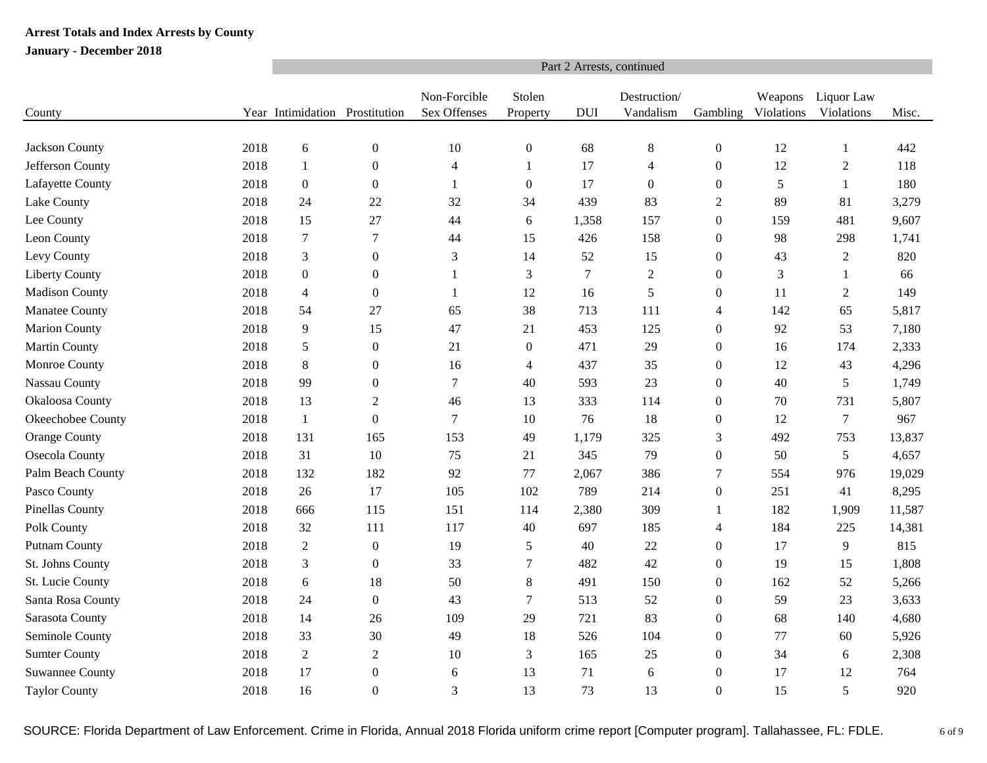|                        |      | Part 2 Arrests, continued      |                  |                              |                    |            |                           |                  |                       |                          |        |  |  |  |
|------------------------|------|--------------------------------|------------------|------------------------------|--------------------|------------|---------------------------|------------------|-----------------------|--------------------------|--------|--|--|--|
| County                 |      | Year Intimidation Prostitution |                  | Non-Forcible<br>Sex Offenses | Stolen<br>Property | <b>DUI</b> | Destruction/<br>Vandalism | Gambling         | Weapons<br>Violations | Liquor Law<br>Violations | Misc.  |  |  |  |
|                        |      |                                |                  |                              |                    |            |                           |                  |                       |                          |        |  |  |  |
| Jackson County         | 2018 | $6\,$                          | $\boldsymbol{0}$ | 10                           | $\boldsymbol{0}$   | 68         | $\,8\,$                   | $\boldsymbol{0}$ | 12                    | $\mathbf{1}$             | 442    |  |  |  |
| Jefferson County       | 2018 | 1                              | $\boldsymbol{0}$ | $\overline{4}$               | 1                  | 17         | $\overline{4}$            | $\boldsymbol{0}$ | 12                    | $\overline{2}$           | 118    |  |  |  |
| Lafayette County       | 2018 | $\boldsymbol{0}$               | $\theta$         | 1                            | $\boldsymbol{0}$   | 17         | $\boldsymbol{0}$          | $\boldsymbol{0}$ | 5                     | $\mathbf{1}$             | 180    |  |  |  |
| Lake County            | 2018 | 24                             | 22               | 32                           | 34                 | 439        | 83                        | $\overline{2}$   | 89                    | 81                       | 3,279  |  |  |  |
| Lee County             | 2018 | 15                             | 27               | 44                           | 6                  | 1,358      | 157                       | $\boldsymbol{0}$ | 159                   | 481                      | 9,607  |  |  |  |
| Leon County            | 2018 | $\boldsymbol{7}$               | $\tau$           | 44                           | 15                 | 426        | 158                       | $\boldsymbol{0}$ | 98                    | 298                      | 1,741  |  |  |  |
| Levy County            | 2018 | $\mathfrak{Z}$                 | $\boldsymbol{0}$ | $\mathfrak{Z}$               | 14                 | 52         | 15                        | $\boldsymbol{0}$ | 43                    | $\overline{2}$           | 820    |  |  |  |
| <b>Liberty County</b>  | 2018 | $\boldsymbol{0}$               | $\theta$         | 1                            | 3                  | $\tau$     | $\mathfrak{2}$            | $\boldsymbol{0}$ | 3                     | 1                        | 66     |  |  |  |
| <b>Madison County</b>  | 2018 | $\overline{4}$                 | $\overline{0}$   | 1                            | 12                 | 16         | 5                         | $\boldsymbol{0}$ | 11                    | $\mathfrak{2}$           | 149    |  |  |  |
| Manatee County         | 2018 | 54                             | 27               | 65                           | 38                 | 713        | 111                       | $\overline{4}$   | 142                   | 65                       | 5,817  |  |  |  |
| <b>Marion County</b>   | 2018 | 9                              | 15               | 47                           | 21                 | 453        | 125                       | $\boldsymbol{0}$ | 92                    | 53                       | 7,180  |  |  |  |
| <b>Martin County</b>   | 2018 | 5                              | $\boldsymbol{0}$ | 21                           | $\boldsymbol{0}$   | 471        | 29                        | $\boldsymbol{0}$ | 16                    | 174                      | 2,333  |  |  |  |
| Monroe County          | 2018 | $\,8\,$                        | $\boldsymbol{0}$ | 16                           | $\overline{4}$     | 437        | 35                        | $\boldsymbol{0}$ | 12                    | 43                       | 4,296  |  |  |  |
| Nassau County          | 2018 | 99                             | $\mathbf{0}$     | $\overline{7}$               | 40                 | 593        | 23                        | $\boldsymbol{0}$ | 40                    | 5                        | 1,749  |  |  |  |
| Okaloosa County        | 2018 | 13                             | $\boldsymbol{2}$ | 46                           | 13                 | 333        | 114                       | $\boldsymbol{0}$ | 70                    | 731                      | 5,807  |  |  |  |
| Okeechobee County      | 2018 | 1                              | $\boldsymbol{0}$ | $\tau$                       | 10                 | 76         | 18                        | $\boldsymbol{0}$ | 12                    | $\overline{7}$           | 967    |  |  |  |
| <b>Orange County</b>   | 2018 | 131                            | 165              | 153                          | 49                 | 1,179      | 325                       | 3                | 492                   | 753                      | 13,837 |  |  |  |
| Osecola County         | 2018 | 31                             | 10               | 75                           | 21                 | 345        | 79                        | $\boldsymbol{0}$ | 50                    | 5                        | 4,657  |  |  |  |
| Palm Beach County      | 2018 | 132                            | 182              | 92                           | 77                 | 2,067      | 386                       | 7                | 554                   | 976                      | 19,029 |  |  |  |
| Pasco County           | 2018 | 26                             | 17               | 105                          | 102                | 789        | 214                       | $\boldsymbol{0}$ | 251                   | 41                       | 8,295  |  |  |  |
| Pinellas County        | 2018 | 666                            | 115              | 151                          | 114                | 2,380      | 309                       | 1                | 182                   | 1,909                    | 11,587 |  |  |  |
| Polk County            | 2018 | 32                             | 111              | 117                          | 40                 | 697        | 185                       | $\overline{4}$   | 184                   | 225                      | 14,381 |  |  |  |
| <b>Putnam County</b>   | 2018 | $\overline{2}$                 | $\boldsymbol{0}$ | 19                           | 5                  | 40         | 22                        | $\boldsymbol{0}$ | 17                    | 9                        | 815    |  |  |  |
| St. Johns County       | 2018 | $\mathfrak{Z}$                 | $\mathbf{0}$     | 33                           | 7                  | 482        | 42                        | $\boldsymbol{0}$ | 19                    | 15                       | 1,808  |  |  |  |
| St. Lucie County       | 2018 | 6                              | 18               | 50                           | $\,8$              | 491        | 150                       | $\theta$         | 162                   | 52                       | 5,266  |  |  |  |
| Santa Rosa County      | 2018 | 24                             | $\boldsymbol{0}$ | 43                           | $\tau$             | 513        | 52                        | $\boldsymbol{0}$ | 59                    | 23                       | 3,633  |  |  |  |
| Sarasota County        | 2018 | 14                             | 26               | 109                          | 29                 | 721        | 83                        | $\boldsymbol{0}$ | 68                    | 140                      | 4,680  |  |  |  |
| Seminole County        | 2018 | 33                             | 30               | 49                           | 18                 | 526        | 104                       | $\boldsymbol{0}$ | 77                    | 60                       | 5,926  |  |  |  |
| <b>Sumter County</b>   | 2018 | $\sqrt{2}$                     | $\sqrt{2}$       | 10                           | 3                  | 165        | $25\,$                    | $\boldsymbol{0}$ | 34                    | 6                        | 2,308  |  |  |  |
| <b>Suwannee County</b> | 2018 | 17                             | $\boldsymbol{0}$ | 6                            | 13                 | 71         | 6                         | $\boldsymbol{0}$ | 17                    | 12                       | 764    |  |  |  |
| <b>Taylor County</b>   | 2018 | 16                             | $\boldsymbol{0}$ | 3                            | 13                 | 73         | 13                        | $\overline{0}$   | 15                    | 5                        | 920    |  |  |  |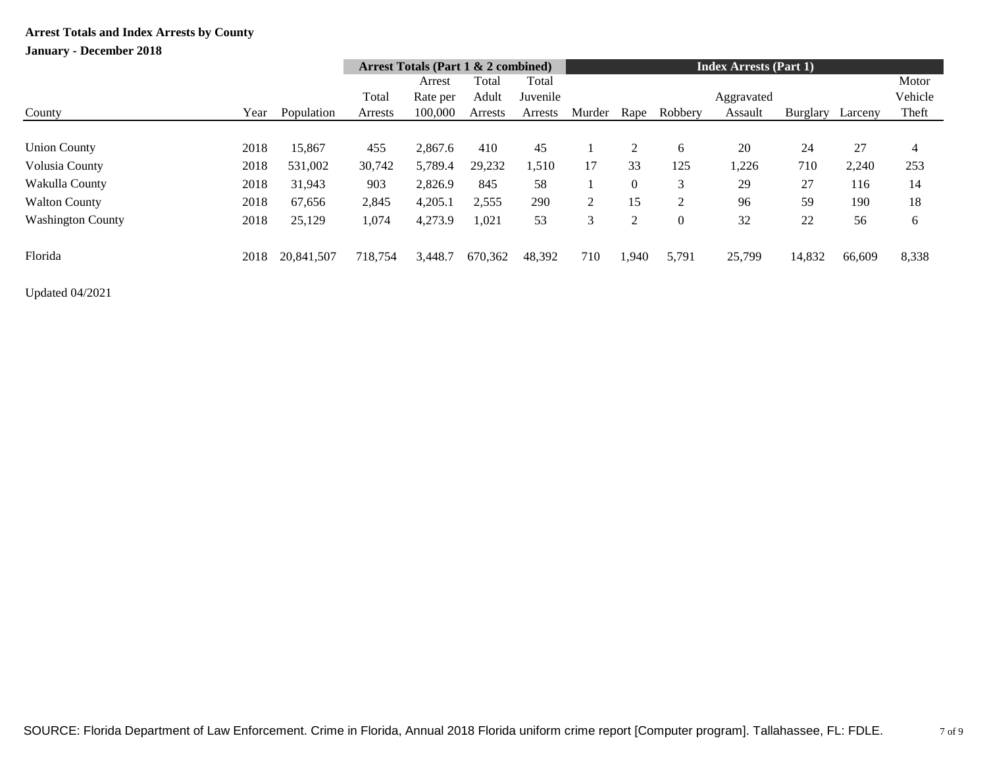## **January - December 2018**

|                          |      |            |                          | Arrest Totals (Part $1 \& 2$ combined) |         |          | <b>Index Arrests (Part 1)</b> |                |                |            |          |         |                |
|--------------------------|------|------------|--------------------------|----------------------------------------|---------|----------|-------------------------------|----------------|----------------|------------|----------|---------|----------------|
|                          |      |            | Total<br>Total<br>Arrest |                                        |         |          |                               |                |                |            |          |         | Motor          |
|                          |      |            | Total                    | Rate per                               | Adult   | Juvenile |                               |                |                | Aggravated |          |         | Vehicle        |
| County                   | Year | Population | Arrests                  | 100,000                                | Arrests | Arrests  | Murder                        | Rape           | Robbery        | Assault    | Burglary | Larceny | Theft          |
|                          |      |            |                          |                                        |         |          |                               |                |                |            |          |         |                |
| <b>Union County</b>      | 2018 | 15,867     | 455                      | 2,867.6                                | 410     | 45       |                               | 2              | 6              | 20         | 24       | 27      | $\overline{4}$ |
| Volusia County           | 2018 | 531,002    | 30,742                   | 5,789.4                                | 29,232  | 1,510    | 17                            | 33             | 125            | 1,226      | 710      | 2,240   | 253            |
| Wakulla County           | 2018 | 31,943     | 903                      | 2,826.9                                | 845     | 58       |                               | $\Omega$       | 3              | 29         | 27       | 116     | 14             |
| <b>Walton County</b>     | 2018 | 67,656     | 2,845                    | 4,205.1                                | 2,555   | 290      | $\overline{2}$                | 15             | 2              | 96         | 59       | 190     | 18             |
| <b>Washington County</b> | 2018 | 25,129     | 1,074                    | 4,273.9                                | 1,021   | 53       | 3                             | $\overline{c}$ | $\overline{0}$ | 32         | 22       | 56      | 6              |
| Florida                  | 2018 | 20,841,507 | 718,754                  | 3,448.7                                | 670,362 | 48,392   | 710                           | 1.940          | 5,791          | 25,799     | 14,832   | 66,609  | 8,338          |

Updated 04/2021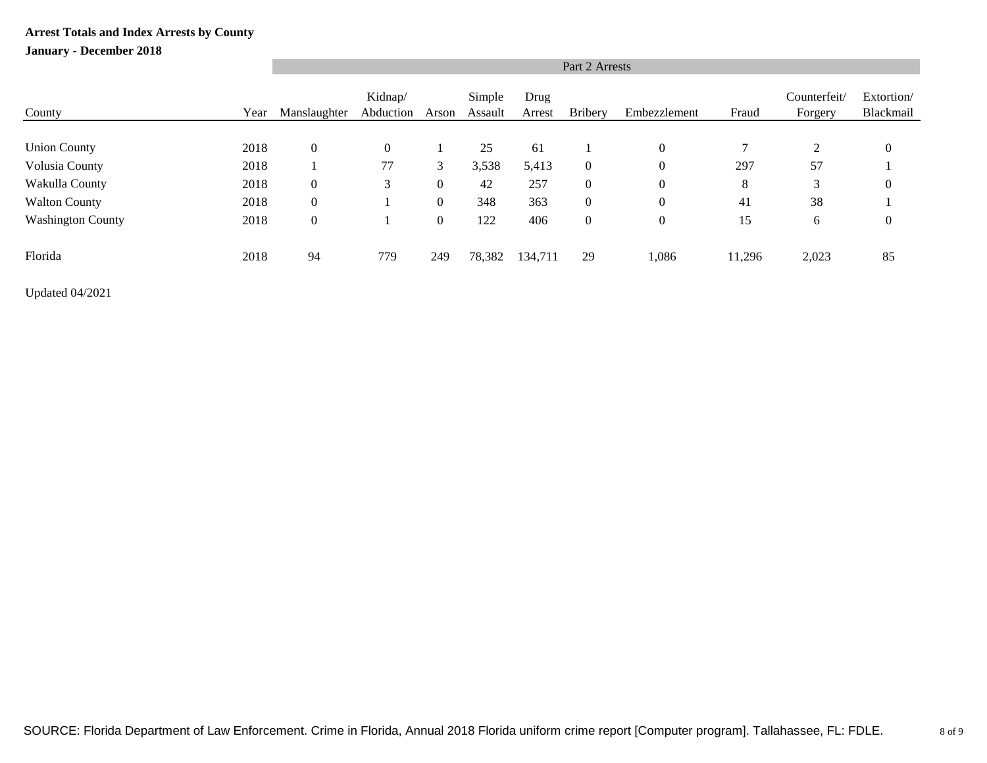### **January - December 2018**

|                          | Part 2 Arrests |                  |                      |                  |                   |                |                |                  |        |                         |                         |  |  |
|--------------------------|----------------|------------------|----------------------|------------------|-------------------|----------------|----------------|------------------|--------|-------------------------|-------------------------|--|--|
| County                   | Year           | Manslaughter     | Kidnap/<br>Abduction | Arson            | Simple<br>Assault | Drug<br>Arrest | <b>Bribery</b> | Embezzlement     | Fraud  | Counterfeit/<br>Forgery | Extortion/<br>Blackmail |  |  |
|                          |                |                  |                      |                  |                   |                |                |                  |        |                         |                         |  |  |
| <b>Union County</b>      | 2018           | $\boldsymbol{0}$ | $\overline{0}$       |                  | 25                | 61             |                | $\overline{0}$   | 7      | 2                       | $\theta$                |  |  |
| Volusia County           | 2018           |                  | 77                   | 3                | 3,538             | 5,413          | $\overline{0}$ | $\mathbf{0}$     | 297    | 57                      |                         |  |  |
| Wakulla County           | 2018           | $\boldsymbol{0}$ | 3                    | $\boldsymbol{0}$ | 42                | 257            | $\overline{0}$ | $\boldsymbol{0}$ | 8      | 3                       | $\boldsymbol{0}$        |  |  |
| <b>Walton County</b>     | 2018           | $\mathbf{0}$     |                      | $\boldsymbol{0}$ | 348               | 363            | $\overline{0}$ | $\overline{0}$   | 41     | 38                      |                         |  |  |
| <b>Washington County</b> | 2018           | $\boldsymbol{0}$ |                      | $\boldsymbol{0}$ | 122               | 406            | $\overline{0}$ | $\boldsymbol{0}$ | 15     | 6                       | $\boldsymbol{0}$        |  |  |
| Florida                  | 2018           | 94               | 779                  | 249              | 78,382            | 134,711        | 29             | 1,086            | 11,296 | 2,023                   | 85                      |  |  |

Updated 04/2021